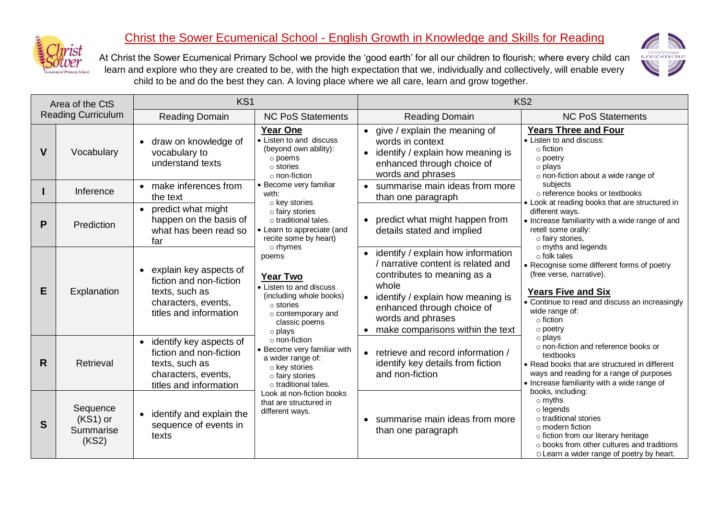

## Christ the Sower Ecumenical School - English Growth in Knowledge and Skills for Reading

Oxford Diocesan<br>BUCKS SCHOOLS TRUST

At Christ the Sower Ecumenical Primary School we provide the 'good earth' for all our children to flourish; where every child can learn and explore who they are created to be, with the high expectation that we, individually and collectively, will enable every child to be and do the best they can. A loving place where we all care, learn and grow together.

|    | Area of the CtS                              | KS <sub>1</sub>                                                                                                         |                                                                                                                                                                                                                                                                                                                                                                                                                                       |                                                                                                                                                                                                                                                  | KS <sub>2</sub>                                                                                                                                                                                                                                           |  |  |
|----|----------------------------------------------|-------------------------------------------------------------------------------------------------------------------------|---------------------------------------------------------------------------------------------------------------------------------------------------------------------------------------------------------------------------------------------------------------------------------------------------------------------------------------------------------------------------------------------------------------------------------------|--------------------------------------------------------------------------------------------------------------------------------------------------------------------------------------------------------------------------------------------------|-----------------------------------------------------------------------------------------------------------------------------------------------------------------------------------------------------------------------------------------------------------|--|--|
|    | <b>Reading Curriculum</b>                    | <b>Reading Domain</b>                                                                                                   | <b>NC PoS Statements</b>                                                                                                                                                                                                                                                                                                                                                                                                              | <b>Reading Domain</b>                                                                                                                                                                                                                            | <b>NC PoS Statements</b>                                                                                                                                                                                                                                  |  |  |
| V  | Vocabulary                                   | • draw on knowledge of<br>vocabulary to<br>understand texts                                                             | <b>Year One</b><br>• Listen to and discuss<br>(beyond own ability):<br>o poems<br>$\circ$ stories<br>$\circ$ non-fiction                                                                                                                                                                                                                                                                                                              | • give / explain the meaning of<br>words in context<br>identify / explain how meaning is<br>enhanced through choice of<br>words and phrases                                                                                                      | <b>Years Three and Four</b><br>• Listen to and discuss:<br>$\circ$ fiction<br>$\circ$ poetry<br>o plays<br>o non-fiction about a wide range of                                                                                                            |  |  |
|    | Inference                                    | • make inferences from<br>the text                                                                                      | • Become very familiar<br>with:                                                                                                                                                                                                                                                                                                                                                                                                       | • summarise main ideas from more<br>than one paragraph                                                                                                                                                                                           | subjects<br>o reference books or textbooks<br>• Look at reading books that are structured in                                                                                                                                                              |  |  |
| P  | Prediction                                   | • predict what might<br>happen on the basis of<br>what has been read so<br>far                                          | o key stories<br>o fairy stories<br>$\circ$ traditional tales.<br>• Learn to appreciate (and<br>recite some by heart)<br>$\circ$ rhymes<br>poems<br><b>Year Two</b><br>• Listen to and discuss<br>(including whole books)<br>$\circ$ stories<br>$\circ$ contemporary and<br>classic poems<br>o plays<br>o non-fiction<br>• Become very familiar with<br>a wider range of:<br>o key stories<br>o fairy stories<br>o traditional tales. | • predict what might happen from<br>details stated and implied                                                                                                                                                                                   | different ways.<br>• Increase familiarity with a wide range of and<br>retell some orally:<br>o fairy stories,                                                                                                                                             |  |  |
| E  | Explanation                                  | explain key aspects of<br>fiction and non-fiction<br>texts, such as<br>characters, events,<br>titles and information    |                                                                                                                                                                                                                                                                                                                                                                                                                                       | • identify / explain how information<br>/ narrative content is related and<br>contributes to meaning as a<br>whole<br>• identify / explain how meaning is<br>enhanced through choice of<br>words and phrases<br>make comparisons within the text | $\circ$ myths and legends<br>$\circ$ folk tales<br>• Recognise some different forms of poetry<br>(free verse, narrative).<br><b>Years Five and Six</b><br>• Continue to read and discuss an increasingly<br>wide range of:<br>$\circ$ fiction<br>○ poetry |  |  |
| R. | Retrieval                                    | • identify key aspects of<br>fiction and non-fiction<br>texts, such as<br>characters, events,<br>titles and information |                                                                                                                                                                                                                                                                                                                                                                                                                                       | • retrieve and record information /<br>identify key details from fiction<br>and non-fiction                                                                                                                                                      | o plays<br>o non-fiction and reference books or<br>textbooks<br>• Read books that are structured in different<br>ways and reading for a range of purposes<br>• Increase familiarity with a wide range of                                                  |  |  |
| S  | Sequence<br>$(KS1)$ or<br>Summarise<br>(KS2) | identify and explain the<br>$\bullet$<br>sequence of events in<br>texts                                                 | Look at non-fiction books<br>that are structured in<br>different ways.                                                                                                                                                                                                                                                                                                                                                                | • summarise main ideas from more<br>than one paragraph                                                                                                                                                                                           | books, including:<br>$\circ$ myths<br>$\circ$ legends<br>o traditional stories<br>$\circ$ modern fiction<br>o fiction from our literary heritage<br>o books from other cultures and traditions<br>o Learn a wider range of poetry by heart.               |  |  |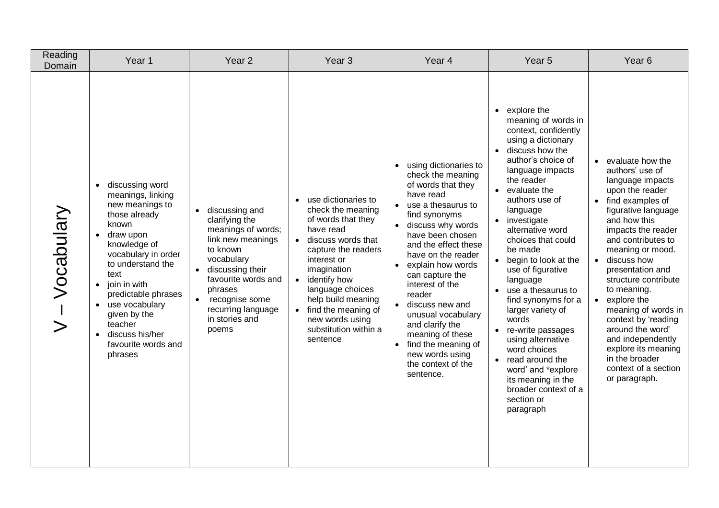| Reading<br>Domain | Year 1                                                                                                                                                                                                                                                                                                                                | Year <sub>2</sub>                                                                                                                                                                                                              | Year <sub>3</sub>                                                                                                                                                                                                                                                                                                             | Year 4                                                                                                                                                                                                                                                                                                                                                                                                                                        | Year <sub>5</sub>                                                                                                                                                                                                                                                                                                                                                                                                                                                                                                                                                                                                           | Year <sub>6</sub>                                                                                                                                                                                                                                                                                                                                                                                                                                                                       |
|-------------------|---------------------------------------------------------------------------------------------------------------------------------------------------------------------------------------------------------------------------------------------------------------------------------------------------------------------------------------|--------------------------------------------------------------------------------------------------------------------------------------------------------------------------------------------------------------------------------|-------------------------------------------------------------------------------------------------------------------------------------------------------------------------------------------------------------------------------------------------------------------------------------------------------------------------------|-----------------------------------------------------------------------------------------------------------------------------------------------------------------------------------------------------------------------------------------------------------------------------------------------------------------------------------------------------------------------------------------------------------------------------------------------|-----------------------------------------------------------------------------------------------------------------------------------------------------------------------------------------------------------------------------------------------------------------------------------------------------------------------------------------------------------------------------------------------------------------------------------------------------------------------------------------------------------------------------------------------------------------------------------------------------------------------------|-----------------------------------------------------------------------------------------------------------------------------------------------------------------------------------------------------------------------------------------------------------------------------------------------------------------------------------------------------------------------------------------------------------------------------------------------------------------------------------------|
| Vocabulary        | discussing word<br>$\bullet$<br>meanings, linking<br>new meanings to<br>those already<br>known<br>draw upon<br>knowledge of<br>vocabulary in order<br>to understand the<br>text<br>join in with<br>$\bullet$<br>predictable phrases<br>use vocabulary<br>given by the<br>teacher<br>discuss his/her<br>favourite words and<br>phrases | discussing and<br>clarifying the<br>meanings of words;<br>link new meanings<br>to known<br>vocabulary<br>discussing their<br>favourite words and<br>phrases<br>recognise some<br>recurring language<br>in stories and<br>poems | use dictionaries to<br>$\bullet$<br>check the meaning<br>of words that they<br>have read<br>• discuss words that<br>capture the readers<br>interest or<br>imagination<br>• identify how<br>language choices<br>help build meaning<br>find the meaning of<br>$\bullet$<br>new words using<br>substitution within a<br>sentence | using dictionaries to<br>check the meaning<br>of words that they<br>have read<br>use a thesaurus to<br>find synonyms<br>discuss why words<br>have been chosen<br>and the effect these<br>have on the reader<br>explain how words<br>can capture the<br>interest of the<br>reader<br>discuss new and<br>unusual vocabulary<br>and clarify the<br>meaning of these<br>find the meaning of<br>new words using<br>the context of the<br>sentence. | $\bullet$ explore the<br>meaning of words in<br>context, confidently<br>using a dictionary<br>• discuss how the<br>author's choice of<br>language impacts<br>the reader<br>• evaluate the<br>authors use of<br>language<br>• investigate<br>alternative word<br>choices that could<br>be made<br>• begin to look at the<br>use of figurative<br>language<br>• use a thesaurus to<br>find synonyms for a<br>larger variety of<br>words<br>re-write passages<br>using alternative<br>word choices<br>$\bullet$ read around the<br>word' and *explore<br>its meaning in the<br>broader context of a<br>section or<br>paragraph | • evaluate how the<br>authors' use of<br>language impacts<br>upon the reader<br>• find examples of<br>figurative language<br>and how this<br>impacts the reader<br>and contributes to<br>meaning or mood.<br>· discuss how<br>presentation and<br>structure contribute<br>to meaning.<br>$\bullet$ explore the<br>meaning of words in<br>context by 'reading<br>around the word'<br>and independently<br>explore its meaning<br>in the broader<br>context of a section<br>or paragraph. |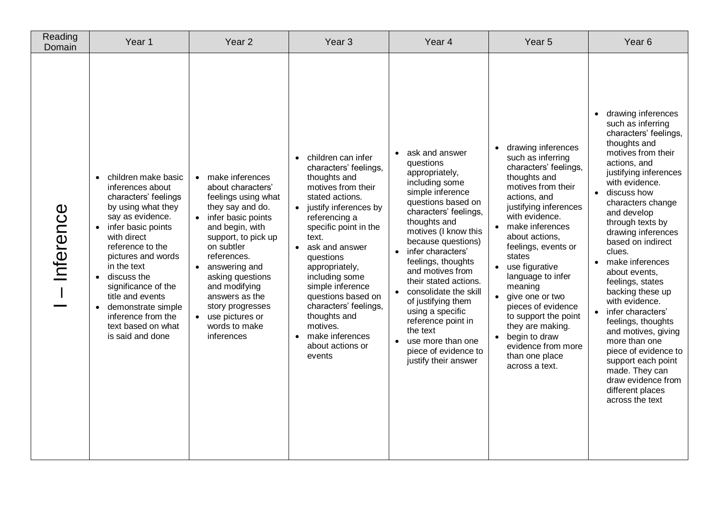| Reading<br>Domain | Year 1                                                                                                                                                                                                                                                                                                                                                                                                      | Year <sub>2</sub>                                                                                                                                                                                                                                                                                                                             | Year <sub>3</sub>                                                                                                                                                                                                                                                                                                                                                                                                                 | Year 4                                                                                                                                                                                                                                                                                                                                                                                                                                                                                                                 | Year 5                                                                                                                                                                                                                                                                                                                                                                                                                                                                         | Year <sub>6</sub>                                                                                                                                                                                                                                                                                                                                                                                                                                                                                                                                                                                                            |
|-------------------|-------------------------------------------------------------------------------------------------------------------------------------------------------------------------------------------------------------------------------------------------------------------------------------------------------------------------------------------------------------------------------------------------------------|-----------------------------------------------------------------------------------------------------------------------------------------------------------------------------------------------------------------------------------------------------------------------------------------------------------------------------------------------|-----------------------------------------------------------------------------------------------------------------------------------------------------------------------------------------------------------------------------------------------------------------------------------------------------------------------------------------------------------------------------------------------------------------------------------|------------------------------------------------------------------------------------------------------------------------------------------------------------------------------------------------------------------------------------------------------------------------------------------------------------------------------------------------------------------------------------------------------------------------------------------------------------------------------------------------------------------------|--------------------------------------------------------------------------------------------------------------------------------------------------------------------------------------------------------------------------------------------------------------------------------------------------------------------------------------------------------------------------------------------------------------------------------------------------------------------------------|------------------------------------------------------------------------------------------------------------------------------------------------------------------------------------------------------------------------------------------------------------------------------------------------------------------------------------------------------------------------------------------------------------------------------------------------------------------------------------------------------------------------------------------------------------------------------------------------------------------------------|
| Inference         | children make basic<br>$\bullet$<br>inferences about<br>characters' feelings<br>by using what they<br>say as evidence.<br>infer basic points<br>$\bullet$<br>with direct<br>reference to the<br>pictures and words<br>in the text<br>discuss the<br>$\bullet$<br>significance of the<br>title and events<br>demonstrate simple<br>$\bullet$<br>inference from the<br>text based on what<br>is said and done | • make inferences<br>about characters'<br>feelings using what<br>they say and do.<br>• infer basic points<br>and begin, with<br>support, to pick up<br>on subtler<br>references.<br>• answering and<br>asking questions<br>and modifying<br>answers as the<br>story progresses<br>use pictures or<br>$\bullet$<br>words to make<br>inferences | children can infer<br>$\bullet$<br>characters' feelings,<br>thoughts and<br>motives from their<br>stated actions.<br>• justify inferences by<br>referencing a<br>specific point in the<br>text.<br>ask and answer<br>$\bullet$<br>questions<br>appropriately,<br>including some<br>simple inference<br>questions based on<br>characters' feelings,<br>thoughts and<br>motives.<br>• make inferences<br>about actions or<br>events | ask and answer<br>$\bullet$<br>questions<br>appropriately,<br>including some<br>simple inference<br>questions based on<br>characters' feelings,<br>thoughts and<br>motives (I know this<br>because questions)<br>infer characters'<br>$\bullet$<br>feelings, thoughts<br>and motives from<br>their stated actions.<br>consolidate the skill<br>$\bullet$<br>of justifying them<br>using a specific<br>reference point in<br>the text<br>use more than one<br>$\bullet$<br>piece of evidence to<br>justify their answer | drawing inferences<br>$\bullet$<br>such as inferring<br>characters' feelings,<br>thoughts and<br>motives from their<br>actions, and<br>justifying inferences<br>with evidence.<br>• make inferences<br>about actions,<br>feelings, events or<br>states<br>• use figurative<br>language to infer<br>meaning<br>• give one or two<br>pieces of evidence<br>to support the point<br>they are making.<br>• begin to draw<br>evidence from more<br>than one place<br>across a text. | drawing inferences<br>such as inferring<br>characters' feelings,<br>thoughts and<br>motives from their<br>actions, and<br>justifying inferences<br>with evidence.<br>• discuss how<br>characters change<br>and develop<br>through texts by<br>drawing inferences<br>based on indirect<br>clues.<br>make inferences<br>$\bullet$<br>about events,<br>feelings, states<br>backing these up<br>with evidence.<br>• infer characters'<br>feelings, thoughts<br>and motives, giving<br>more than one<br>piece of evidence to<br>support each point<br>made. They can<br>draw evidence from<br>different places<br>across the text |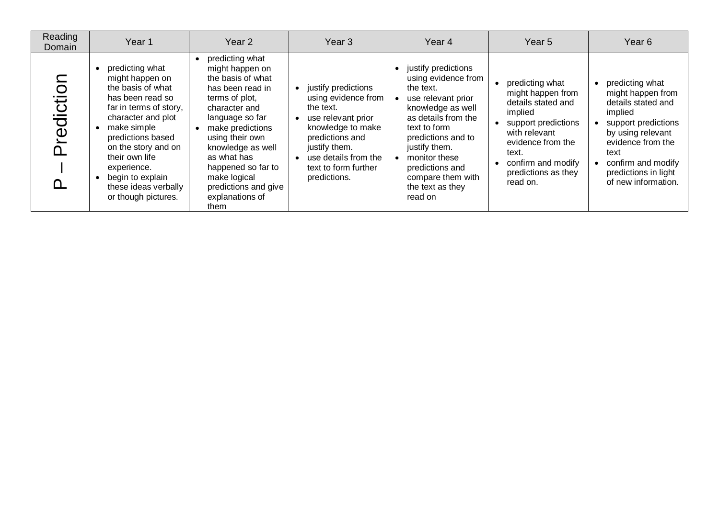| Reading<br>Domain                 | Year <sub>1</sub>                                                                                                                                                                                                                                                                          | Year 2                                                                                                                                                                                                                                                                                                | Year <sub>3</sub>                                                                                                                                                                                      | Year <sub>4</sub>                                                                                                                                                                                                                                                          | Year <sub>5</sub>                                                                                                                                                                                    | Year <sub>6</sub>                                                                                                                                                                                                   |
|-----------------------------------|--------------------------------------------------------------------------------------------------------------------------------------------------------------------------------------------------------------------------------------------------------------------------------------------|-------------------------------------------------------------------------------------------------------------------------------------------------------------------------------------------------------------------------------------------------------------------------------------------------------|--------------------------------------------------------------------------------------------------------------------------------------------------------------------------------------------------------|----------------------------------------------------------------------------------------------------------------------------------------------------------------------------------------------------------------------------------------------------------------------------|------------------------------------------------------------------------------------------------------------------------------------------------------------------------------------------------------|---------------------------------------------------------------------------------------------------------------------------------------------------------------------------------------------------------------------|
| $\overline{O}$<br>Ū<br>.<br>ල<br> | predicting what<br>might happen on<br>the basis of what<br>has been read so<br>far in terms of story,<br>character and plot<br>make simple<br>predictions based<br>on the story and on<br>their own life<br>experience.<br>begin to explain<br>these ideas verbally<br>or though pictures. | predicting what<br>might happen on<br>the basis of what<br>has been read in<br>terms of plot,<br>character and<br>language so far<br>make predictions<br>using their own<br>knowledge as well<br>as what has<br>happened so far to<br>make logical<br>predictions and give<br>explanations of<br>them | justify predictions<br>using evidence from<br>the text.<br>use relevant prior<br>knowledge to make<br>predictions and<br>justify them.<br>use details from the<br>text to form further<br>predictions. | • justify predictions<br>using evidence from<br>the text.<br>use relevant prior<br>knowledge as well<br>as details from the<br>text to form<br>predictions and to<br>justify them.<br>monitor these<br>predictions and<br>compare them with<br>the text as they<br>read on | predicting what<br>might happen from<br>details stated and<br>implied<br>support predictions<br>with relevant<br>evidence from the<br>text.<br>confirm and modify<br>predictions as they<br>read on. | predicting what<br>might happen from<br>details stated and<br>implied<br>support predictions<br>by using relevant<br>evidence from the<br>text<br>confirm and modify<br>predictions in light<br>of new information. |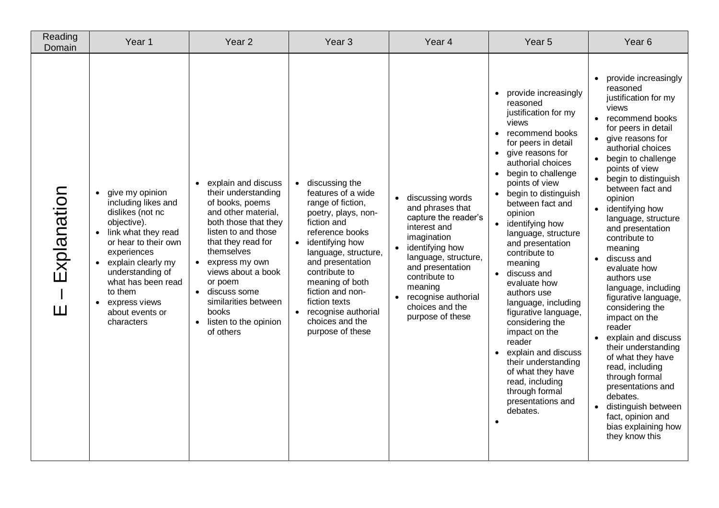| Reading<br>Domain                           | Year 1                                                                                                                                                                                                                                                                                                                   | Year <sub>2</sub>                                                                                                                                                                                                                                                                                                         | Year <sub>3</sub>                                                                                                                                                                                                                                                                                                                         | Year <sub>4</sub>                                                                                                                                                                                                                                    | Year <sub>5</sub>                                                                                                                                                                                                                                                                                                                                                                                                                                                                                                                                                                                                                                      | Year <sub>6</sub>                                                                                                                                                                                                                                                                                                                                                                                                                                                                                                                                                                                                                                                                                                                                                                                                                |
|---------------------------------------------|--------------------------------------------------------------------------------------------------------------------------------------------------------------------------------------------------------------------------------------------------------------------------------------------------------------------------|---------------------------------------------------------------------------------------------------------------------------------------------------------------------------------------------------------------------------------------------------------------------------------------------------------------------------|-------------------------------------------------------------------------------------------------------------------------------------------------------------------------------------------------------------------------------------------------------------------------------------------------------------------------------------------|------------------------------------------------------------------------------------------------------------------------------------------------------------------------------------------------------------------------------------------------------|--------------------------------------------------------------------------------------------------------------------------------------------------------------------------------------------------------------------------------------------------------------------------------------------------------------------------------------------------------------------------------------------------------------------------------------------------------------------------------------------------------------------------------------------------------------------------------------------------------------------------------------------------------|----------------------------------------------------------------------------------------------------------------------------------------------------------------------------------------------------------------------------------------------------------------------------------------------------------------------------------------------------------------------------------------------------------------------------------------------------------------------------------------------------------------------------------------------------------------------------------------------------------------------------------------------------------------------------------------------------------------------------------------------------------------------------------------------------------------------------------|
| Explanation<br>$\mathbf{I}$<br>$\mathbf{H}$ | give my opinion<br>$\bullet$<br>including likes and<br>dislikes (not nc<br>objective).<br>link what they read<br>$\bullet$<br>or hear to their own<br>experiences<br>explain clearly my<br>$\bullet$<br>understanding of<br>what has been read<br>to them<br>express views<br>$\bullet$<br>about events or<br>characters | • explain and discuss<br>their understanding<br>of books, poems<br>and other material,<br>both those that they<br>listen to and those<br>that they read for<br>themselves<br>• express my own<br>views about a book<br>or poem<br>• discuss some<br>similarities between<br>books<br>• listen to the opinion<br>of others | discussing the<br>$\bullet$<br>features of a wide<br>range of fiction,<br>poetry, plays, non-<br>fiction and<br>reference books<br>• identifying how<br>language, structure,<br>and presentation<br>contribute to<br>meaning of both<br>fiction and non-<br>fiction texts<br>• recognise authorial<br>choices and the<br>purpose of these | discussing words<br>and phrases that<br>capture the reader's<br>interest and<br>imagination<br>identifying how<br>language, structure,<br>and presentation<br>contribute to<br>meaning<br>recognise authorial<br>choices and the<br>purpose of these | provide increasingly<br>reasoned<br>justification for my<br>views<br>recommend books<br>$\bullet$<br>for peers in detail<br>• give reasons for<br>authorial choices<br>begin to challenge<br>points of view<br>• begin to distinguish<br>between fact and<br>opinion<br>• identifying how<br>language, structure<br>and presentation<br>contribute to<br>meaning<br>· discuss and<br>evaluate how<br>authors use<br>language, including<br>figurative language,<br>considering the<br>impact on the<br>reader<br>explain and discuss<br>their understanding<br>of what they have<br>read, including<br>through formal<br>presentations and<br>debates. | provide increasingly<br>$\bullet$<br>reasoned<br>justification for my<br>views<br>• recommend books<br>for peers in detail<br>give reasons for<br>$\bullet$<br>authorial choices<br>begin to challenge<br>$\bullet$<br>points of view<br>begin to distinguish<br>$\bullet$<br>between fact and<br>opinion<br>identifying how<br>$\bullet$<br>language, structure<br>and presentation<br>contribute to<br>meaning<br>discuss and<br>$\bullet$<br>evaluate how<br>authors use<br>language, including<br>figurative language,<br>considering the<br>impact on the<br>reader<br>explain and discuss<br>$\bullet$<br>their understanding<br>of what they have<br>read, including<br>through formal<br>presentations and<br>debates.<br>distinguish between<br>$\bullet$<br>fact, opinion and<br>bias explaining how<br>they know this |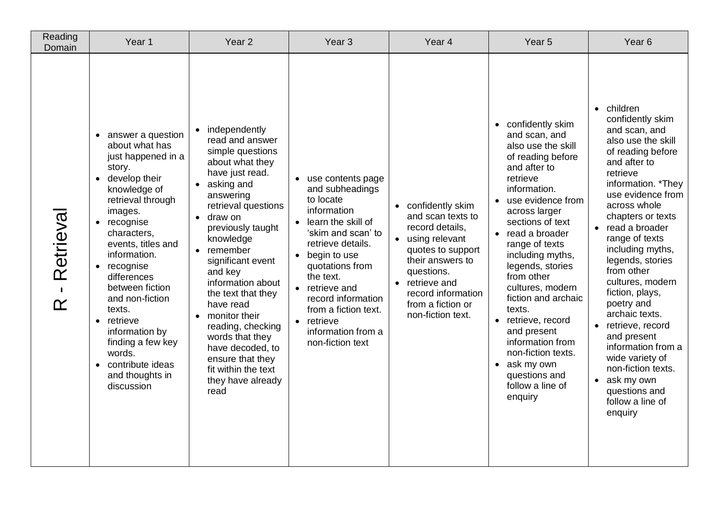| Reading<br>Domain                       | Year <sub>1</sub>                                                                                                                                                                                                                                                                                                                                                                                                                                 | Year <sub>2</sub>                                                                                                                                                                                                                                                                                                                                                                                                                                          | Year <sub>3</sub>                                                                                                                                                                                                                                                                                             | Year <sub>4</sub>                                                                                                                                                                                                   | Year <sub>5</sub>                                                                                                                                                                                                                                                                                                                                                                                                                                                                    | Year <sub>6</sub>                                                                                                                                                                                                                                                                                                                                                                                                                                                                                                                                        |
|-----------------------------------------|---------------------------------------------------------------------------------------------------------------------------------------------------------------------------------------------------------------------------------------------------------------------------------------------------------------------------------------------------------------------------------------------------------------------------------------------------|------------------------------------------------------------------------------------------------------------------------------------------------------------------------------------------------------------------------------------------------------------------------------------------------------------------------------------------------------------------------------------------------------------------------------------------------------------|---------------------------------------------------------------------------------------------------------------------------------------------------------------------------------------------------------------------------------------------------------------------------------------------------------------|---------------------------------------------------------------------------------------------------------------------------------------------------------------------------------------------------------------------|--------------------------------------------------------------------------------------------------------------------------------------------------------------------------------------------------------------------------------------------------------------------------------------------------------------------------------------------------------------------------------------------------------------------------------------------------------------------------------------|----------------------------------------------------------------------------------------------------------------------------------------------------------------------------------------------------------------------------------------------------------------------------------------------------------------------------------------------------------------------------------------------------------------------------------------------------------------------------------------------------------------------------------------------------------|
| Retrieval<br>$\blacksquare$<br>$\alpha$ | • answer a question<br>about what has<br>just happened in a<br>story.<br>• develop their<br>knowledge of<br>retrieval through<br>images.<br>recognise<br>$\bullet$<br>characters,<br>events, titles and<br>information.<br>recognise<br>$\bullet$<br>differences<br>between fiction<br>and non-fiction<br>texts.<br>retrieve<br>$\bullet$<br>information by<br>finding a few key<br>words.<br>• contribute ideas<br>and thoughts in<br>discussion | • independently<br>read and answer<br>simple questions<br>about what they<br>have just read.<br>• asking and<br>answering<br>retrieval questions<br>draw on<br>previously taught<br>knowledge<br>• remember<br>significant event<br>and key<br>information about<br>the text that they<br>have read<br>• monitor their<br>reading, checking<br>words that they<br>have decoded, to<br>ensure that they<br>fit within the text<br>they have already<br>read | use contents page<br>and subheadings<br>to locate<br>information<br>• learn the skill of<br>'skim and scan' to<br>retrieve details.<br>• begin to use<br>quotations from<br>the text.<br>• retrieve and<br>record information<br>from a fiction text.<br>• retrieve<br>information from a<br>non-fiction text | confidently skim<br>and scan texts to<br>record details,<br>• using relevant<br>quotes to support<br>their answers to<br>questions.<br>retrieve and<br>record information<br>from a fiction or<br>non-fiction text. | • confidently skim<br>and scan, and<br>also use the skill<br>of reading before<br>and after to<br>retrieve<br>information.<br>use evidence from<br>across larger<br>sections of text<br>• read a broader<br>range of texts<br>including myths,<br>legends, stories<br>from other<br>cultures, modern<br>fiction and archaic<br>texts.<br>• retrieve, record<br>and present<br>information from<br>non-fiction texts.<br>• ask my own<br>questions and<br>follow a line of<br>enquiry | children<br>$\bullet$<br>confidently skim<br>and scan, and<br>also use the skill<br>of reading before<br>and after to<br>retrieve<br>information. *They<br>use evidence from<br>across whole<br>chapters or texts<br>• read a broader<br>range of texts<br>including myths,<br>legends, stories<br>from other<br>cultures, modern<br>fiction, plays,<br>poetry and<br>archaic texts.<br>• retrieve, record<br>and present<br>information from a<br>wide variety of<br>non-fiction texts.<br>• ask my own<br>questions and<br>follow a line of<br>enquiry |